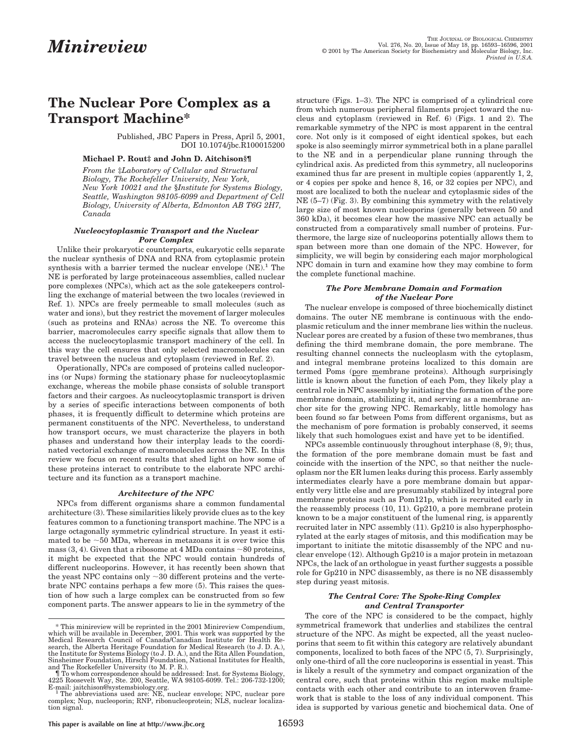# **The Nuclear Pore Complex as a Transport Machine\***

Published, JBC Papers in Press, April 5, 2001, DOI 10.1074/jbc.R100015200

**Michael P. Rout‡ and John D. Aitchison§¶**

*From the* ‡*Laboratory of Cellular and Structural Biology, The Rockefeller University, New York, New York 10021 and the* §*Institute for Systems Biology, Seattle, Washington 98105-6099 and Department of Cell Biology, University of Alberta, Edmonton AB T6G 2H7, Canada*

# *Nucleocytoplasmic Transport and the Nuclear Pore Complex*

Unlike their prokaryotic counterparts, eukaryotic cells separate the nuclear synthesis of DNA and RNA from cytoplasmic protein synthesis with a barrier termed the nuclear envelope  $(NE).<sup>1</sup>$  The NE is perforated by large proteinaceous assemblies, called nuclear pore complexes (NPCs), which act as the sole gatekeepers controlling the exchange of material between the two locales (reviewed in Ref. 1). NPCs are freely permeable to small molecules (such as water and ions), but they restrict the movement of larger molecules (such as proteins and RNAs) across the NE. To overcome this barrier, macromolecules carry specific signals that allow them to access the nucleocytoplasmic transport machinery of the cell. In this way the cell ensures that only selected macromolecules can travel between the nucleus and cytoplasm (reviewed in Ref. 2).

Operationally, NPCs are composed of proteins called nucleoporins (or Nups) forming the stationary phase for nucleocytoplasmic exchange, whereas the mobile phase consists of soluble transport factors and their cargoes. As nucleocytoplasmic transport is driven by a series of specific interactions between components of both phases, it is frequently difficult to determine which proteins are permanent constituents of the NPC. Nevertheless, to understand how transport occurs, we must characterize the players in both phases and understand how their interplay leads to the coordinated vectorial exchange of macromolecules across the NE. In this review we focus on recent results that shed light on how some of these proteins interact to contribute to the elaborate NPC architecture and its function as a transport machine.

# *Architecture of the NPC*

NPCs from different organisms share a common fundamental architecture (3). These similarities likely provide clues as to the key features common to a functioning transport machine. The NPC is a large octagonally symmetric cylindrical structure. In yeast it estimated to be  $\sim$  50 MDa, whereas in metazoans it is over twice this mass (3, 4). Given that a ribosome at 4 MDa contains  $\sim$  80 proteins, it might be expected that the NPC would contain hundreds of different nucleoporins. However, it has recently been shown that the yeast NPC contains only  $\sim$  30 different proteins and the vertebrate NPC contains perhaps a few more (5). This raises the question of how such a large complex can be constructed from so few component parts. The answer appears to lie in the symmetry of the structure (Figs. 1–3). The NPC is comprised of a cylindrical core from which numerous peripheral filaments project toward the nucleus and cytoplasm (reviewed in Ref. 6) (Figs. 1 and 2). The remarkable symmetry of the NPC is most apparent in the central core. Not only is it composed of eight identical spokes, but each spoke is also seemingly mirror symmetrical both in a plane parallel to the NE and in a perpendicular plane running through the cylindrical axis. As predicted from this symmetry, all nucleoporins examined thus far are present in multiple copies (apparently 1, 2, or 4 copies per spoke and hence 8, 16, or 32 copies per NPC), and most are localized to both the nuclear and cytoplasmic sides of the NE (5–7) (Fig. 3). By combining this symmetry with the relatively large size of most known nucleoporins (generally between 50 and 360 kDa), it becomes clear how the massive NPC can actually be constructed from a comparatively small number of proteins. Furthermore, the large size of nucleoporins potentially allows them to span between more than one domain of the NPC. However, for simplicity, we will begin by considering each major morphological NPC domain in turn and examine how they may combine to form the complete functional machine.

# *The Pore Membrane Domain and Formation of the Nuclear Pore*

The nuclear envelope is composed of three biochemically distinct domains. The outer NE membrane is continuous with the endoplasmic reticulum and the inner membrane lies within the nucleus. Nuclear pores are created by a fusion of these two membranes, thus defining the third membrane domain, the pore membrane. The resulting channel connects the nucleoplasm with the cytoplasm, and integral membrane proteins localized to this domain are termed Poms (pore membrane proteins). Although surprisingly little is known about the function of each Pom, they likely play a central role in NPC assembly by initiating the formation of the pore membrane domain, stabilizing it, and serving as a membrane anchor site for the growing NPC. Remarkably, little homology has been found so far between Poms from different organisms, but as the mechanism of pore formation is probably conserved, it seems likely that such homologues exist and have yet to be identified.

NPCs assemble continuously throughout interphase (8, 9); thus, the formation of the pore membrane domain must be fast and coincide with the insertion of the NPC, so that neither the nucleoplasm nor the ER lumen leaks during this process. Early assembly intermediates clearly have a pore membrane domain but apparently very little else and are presumably stabilized by integral pore membrane proteins such as Pom121p, which is recruited early in the reassembly process (10, 11). Gp210, a pore membrane protein known to be a major constituent of the lumenal ring, is apparently recruited later in NPC assembly (11). Gp210 is also hyperphosphorylated at the early stages of mitosis, and this modification may be important to initiate the mitotic disassembly of the NPC and nuclear envelope (12). Although Gp210 is a major protein in metazoan NPCs, the lack of an orthologue in yeast further suggests a possible role for Gp210 in NPC disassembly, as there is no NE disassembly step during yeast mitosis.

### *The Central Core: The Spoke-Ring Complex and Central Transporter*

The core of the NPC is considered to be the compact, highly symmetrical framework that underlies and stabilizes the central structure of the NPC. As might be expected, all the yeast nucleoporins that seem to fit within this category are relatively abundant components, localized to both faces of the NPC (5, 7). Surprisingly, only one-third of all the core nucleoporins is essential in yeast. This is likely a result of the symmetry and compact organization of the central core, such that proteins within this region make multiple contacts with each other and contribute to an interwoven framework that is stable to the loss of any individual component. This idea is supported by various genetic and biochemical data. One of

<sup>\*</sup> This minireview will be reprinted in the 2001 Minireview Compendium, which will be available in December, 2001. This work was supported by the Medical Research Council of Canada/Canadian Institute for Health Research, the Alberta Heritage Foundation for Medical Research (to J. D. A.), the Institute for Systems Biology (to J. D. A.), and the Rita Allen Foundation, Sinsheimer Foundation, Hirschl Foundation, National Institutes for Health,

and The Rockefeller University (to M. P. R.). <br>
<sup>1</sup> To whom correspondence should be addressed: Inst. for Systems Biology, 4225 Roosevelt Way, Ste. 200, Seattle, WA 98105-6099. Tel.: 206-732-1200; E-mail: jaitchison@systemsbiology.org.<br>
<sup>1</sup> The abbreviations used are: NE, nuclear envelope; NPC, nuclear pore

complex; Nup, nucleoporin; RNP, ribonucleoprotein; NLS, nuclear localization signal.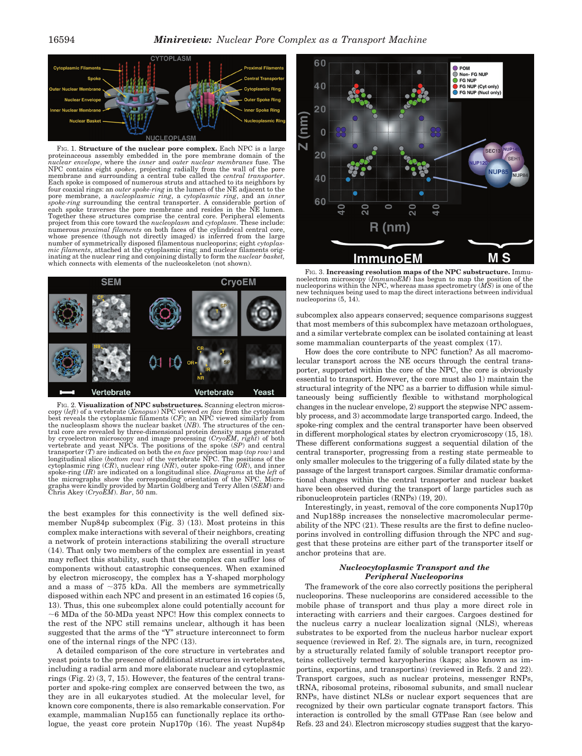

FIG. 1. **Structure of the nuclear pore complex.** Each NPC is a large proteinaceous assembly embedded in the pore membrane domain of the proteinaceous *nuclear envelope*, where the *inner* and *outer nuclear membranes* fuse NPC contains eight *spokes*, projecting radially from the wall of the pore Each spoke is composed of numerous struts and attached to its neighbors by four coaxial rings: an *outer spoke-ring* in the lumen of the NE adjacent to the pore membrane, a *nucleoplasmic ring*, a *cytoplasmic ring*, and an *inner spoke-ring* surrounding the central transporter. A considerable portion of each spoke traverses the pore membrane and resides in the NE lumen. Together these structures comprise the central core. Peripheral elements project from this core toward the *nucleoplasm* and *cytoplasm*. These include: numerous *proximal filaments* on both faces of the cylindrical central core, whose presence (though not directly imaged) is inferred from the large number of symmetrically disposed filamentous nucleoporins; eight *cytoplasmic filaments*, attached at the cytoplasmic ring; and nuclear filaments orig-inating at the nuclear ring and conjoining distally to form the *nuclear basket,* which connects with elements of the nucleoskeleton (not shown).



copy (left) of a vertebrate (Xenopus) NPC viewed en face from the cytoplasm<br>best reveals the cytoplasmic filaments (CF); an NPC viewed similarly from<br>the nucleoplasm shows the nuclear basket (NB). The structures of the cen tral core are revealed by three-dimensional protein density maps generated by cryoelectron microscopy and image processing (*CryoEM*, *right*) of both vertebrate and yeast NPCs. The positions of the spoke (*SP*) and central transporter (*T*) are indicated on both the *en face* projection map (*top row*) and longitudinal slice (*bottom row*) of the vertebrate NPC. The positions of the positions of the space of the space of the space of the space space  $\log N$ , nuclear ring (*OR*), and inner space space  $\log N$  are indicated on a the micrographs show the corresponding orientation of the NPC. Micrographs were kindly provided by Martin Goldberg and Terry Allen (*SEM*) and Chris Akey (*CryoEM*). *Bar*, 50 nm.

the best examples for this connectivity is the well defined sixmember Nup84p subcomplex (Fig. 3) (13). Most proteins in this complex make interactions with several of their neighbors, creating a network of protein interactions stabilizing the overall structure (14). That only two members of the complex are essential in yeast may reflect this stability, such that the complex can suffer loss of components without catastrophic consequences. When examined by electron microscopy, the complex has a Y-shaped morphology and a mass of  $\sim$ 375 kDa. All the members are symmetrically disposed within each NPC and present in an estimated 16 copies (5, 13). Thus, this one subcomplex alone could potentially account for  $\sim$  6 MDa of the 50-MDa yeast NPC! How this complex connects to the rest of the NPC still remains unclear, although it has been suggested that the arms of the "Y" structure interconnect to form one of the internal rings of the NPC (13).

A detailed comparison of the core structure in vertebrates and yeast points to the presence of additional structures in vertebrates, including a radial arm and more elaborate nuclear and cytoplasmic rings (Fig. 2) (3, 7, 15). However, the features of the central transporter and spoke-ring complex are conserved between the two, as they are in all eukaryotes studied. At the molecular level, for known core components, there is also remarkable conservation. For example, mammalian Nup155 can functionally replace its orthologue, the yeast core protein Nup170p (16). The yeast Nup84p



FIG. 3. **Increasing resolution maps of the NPC substructure.** Immu-<br>noelectron microscopy (*ImmunoEM*) has begun to map the position of the<br>nucleoporins within the NPC, whereas mass spectrometry (*MS*) is one of the new techniques being used to map the direct interactions between individual nucleoporins (5, 14).

subcomplex also appears conserved; sequence comparisons suggest that most members of this subcomplex have metazoan orthologues, and a similar vertebrate complex can be isolated containing at least some mammalian counterparts of the yeast complex (17).

How does the core contribute to NPC function? As all macromolecular transport across the NE occurs through the central transporter, supported within the core of the NPC, the core is obviously essential to transport. However, the core must also 1) maintain the structural integrity of the NPC as a barrier to diffusion while simultaneously being sufficiently flexible to withstand morphological changes in the nuclear envelope, 2) support the stepwise NPC assembly process, and 3) accommodate large transported cargo. Indeed, the spoke-ring complex and the central transporter have been observed in different morphological states by electron cryomicroscopy (15, 18). These different conformations suggest a sequential dilation of the central transporter, progressing from a resting state permeable to only smaller molecules to the triggering of a fully dilated state by the passage of the largest transport cargoes. Similar dramatic conformational changes within the central transporter and nuclear basket have been observed during the transport of large particles such as ribonucleoprotein particles (RNPs) (19, 20).

Interestingly, in yeast, removal of the core components Nup170p and Nup188p increases the nonselective macromolecular permeability of the NPC (21). These results are the first to define nucleoporins involved in controlling diffusion through the NPC and suggest that these proteins are either part of the transporter itself or anchor proteins that are.

#### *Nucleocytoplasmic Transport and the Peripheral Nucleoporins*

The framework of the core also correctly positions the peripheral nucleoporins. These nucleoporins are considered accessible to the mobile phase of transport and thus play a more direct role in interacting with carriers and their cargoes. Cargoes destined for the nucleus carry a nuclear localization signal (NLS), whereas substrates to be exported from the nucleus harbor nuclear export sequence (reviewed in Ref. 2). The signals are, in turn, recognized by a structurally related family of soluble transport receptor proteins collectively termed karyopherins (kaps; also known as importins, exportins, and transportins) (reviewed in Refs. 2 and 22). Transport cargoes, such as nuclear proteins, messenger RNPs, tRNA, ribosomal proteins, ribosomal subunits, and small nuclear RNPs, have distinct NLSs or nuclear export sequences that are recognized by their own particular cognate transport factors. This interaction is controlled by the small GTPase Ran (see below and Refs. 23 and 24). Electron microscopy studies suggest that the karyo-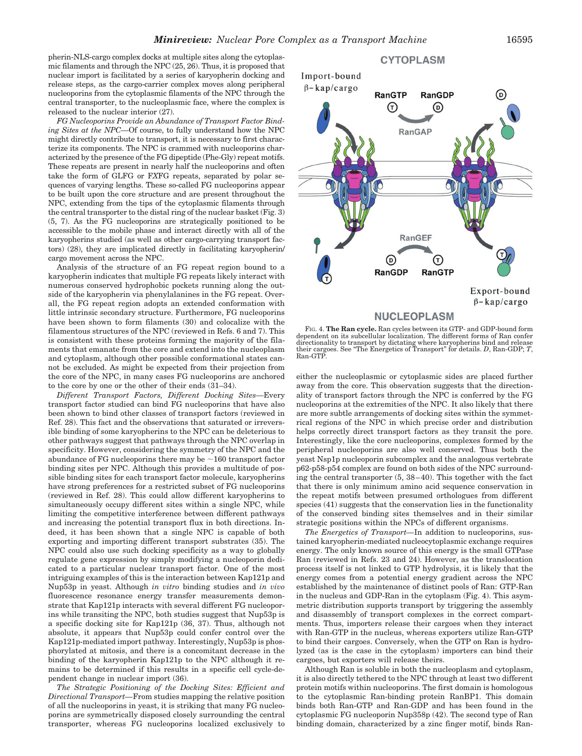pherin-NLS-cargo complex docks at multiple sites along the cytoplasmic filaments and through the NPC (25, 26). Thus, it is proposed that nuclear import is facilitated by a series of karyopherin docking and release steps, as the cargo-carrier complex moves along peripheral nucleoporins from the cytoplasmic filaments of the NPC through the central transporter, to the nucleoplasmic face, where the complex is released to the nuclear interior (27).

*FG Nucleoporins Provide an Abundance of Transport Factor Binding Sites at the NPC—*Of course, to fully understand how the NPC might directly contribute to transport, it is necessary to first characterize its components. The NPC is crammed with nucleoporins characterized by the presence of the FG dipeptide (Phe-Gly) repeat motifs. These repeats are present in nearly half the nucleoporins and often take the form of GLFG or F*X*FG repeats, separated by polar sequences of varying lengths. These so-called FG nucleoporins appear to be built upon the core structure and are present throughout the NPC, extending from the tips of the cytoplasmic filaments through the central transporter to the distal ring of the nuclear basket (Fig. 3) (5, 7). As the FG nucleoporins are strategically positioned to be accessible to the mobile phase and interact directly with all of the karyopherins studied (as well as other cargo-carrying transport factors) (28), they are implicated directly in facilitating karyopherin/ cargo movement across the NPC.

Analysis of the structure of an FG repeat region bound to a karyopherin indicates that multiple FG repeats likely interact with numerous conserved hydrophobic pockets running along the outside of the karyopherin via phenylalanines in the FG repeat. Overall, the FG repeat region adopts an extended conformation with little intrinsic secondary structure. Furthermore, FG nucleoporins have been shown to form filaments (30) and colocalize with the filamentous structures of the NPC (reviewed in Refs. 6 and 7). This is consistent with these proteins forming the majority of the filaments that emanate from the core and extend into the nucleoplasm and cytoplasm, although other possible conformational states cannot be excluded. As might be expected from their projection from the core of the NPC, in many cases FG nucleoporins are anchored to the core by one or the other of their ends (31–34).

*Different Transport Factors, Different Docking Sites—*Every transport factor studied can bind FG nucleoporins that have also been shown to bind other classes of transport factors (reviewed in Ref. 28). This fact and the observations that saturated or irreversible binding of some karyopherins to the NPC can be deleterious to other pathways suggest that pathways through the NPC overlap in specificity. However, considering the symmetry of the NPC and the abundance of FG nucleoporins there may be  $\sim$ 160 transport factor binding sites per NPC. Although this provides a multitude of possible binding sites for each transport factor molecule, karyopherins have strong preferences for a restricted subset of FG nucleoporins (reviewed in Ref. 28). This could allow different karyopherins to simultaneously occupy different sites within a single NPC, while limiting the competitive interference between different pathways and increasing the potential transport flux in both directions. Indeed, it has been shown that a single NPC is capable of both exporting and importing different transport substrates (35). The NPC could also use such docking specificity as a way to globally regulate gene expression by simply modifying a nucleoporin dedicated to a particular nuclear transport factor. One of the most intriguing examples of this is the interaction between Kap121p and Nup53p in yeast. Although *in vitro* binding studies and *in vivo* fluorescence resonance energy transfer measurements demonstrate that Kap121p interacts with several different FG nucleoporins while transiting the NPC, both studies suggest that Nup53p is a specific docking site for Kap121p (36, 37). Thus, although not absolute, it appears that Nup53p could confer control over the Kap121p-mediated import pathway. Interestingly, Nup53p is phosphorylated at mitosis, and there is a concomitant decrease in the binding of the karyopherin Kap121p to the NPC although it remains to be determined if this results in a specific cell cycle-dependent change in nuclear import (36).

*The Strategic Positioning of the Docking Sites: Efficient and Directional Transport—*From studies mapping the relative position of all the nucleoporins in yeast, it is striking that many FG nucleoporins are symmetrically disposed closely surrounding the central transporter, whereas FG nucleoporins localized exclusively to





**NUCLEOPLASM** 

FIG. 4. **The Ran cycle.** Ran cycles between its GTP- and GDP-bound form dependent on its subcellular localization. The different forms of Ran confer directionality to transport by dictating where karyopherins bind and release their cargoes. See "The Energetics of Transport" for details. *<sup>D</sup>*, Ran-GDP; *<sup>T</sup>*, Ran-GTP.

either the nucleoplasmic or cytoplasmic sides are placed further away from the core. This observation suggests that the directionality of transport factors through the NPC is conferred by the FG nucleoporins at the extremities of the NPC. It also likely that there are more subtle arrangements of docking sites within the symmetrical regions of the NPC in which precise order and distribution helps correctly direct transport factors as they transit the pore. Interestingly, like the core nucleoporins, complexes formed by the peripheral nucleoporins are also well conserved. Thus both the yeast Nsp1p nucleoporin subcomplex and the analogous vertebrate p62-p58-p54 complex are found on both sides of the NPC surrounding the central transporter (5, 38–40). This together with the fact that there is only minimum amino acid sequence conservation in the repeat motifs between presumed orthologues from different species (41) suggests that the conservation lies in the functionality of the conserved binding sites themselves and in their similar strategic positions within the NPCs of different organisms.

*The Energetics of Transport—*In addition to nucleoporins, sustained karyopherin-mediated nucleocytoplasmic exchange requires energy. The only known source of this energy is the small GTPase Ran (reviewed in Refs. 23 and 24). However, as the translocation process itself is not linked to GTP hydrolysis, it is likely that the energy comes from a potential energy gradient across the NPC established by the maintenance of distinct pools of Ran: GTP-Ran in the nucleus and GDP-Ran in the cytoplasm (Fig. 4). This asymmetric distribution supports transport by triggering the assembly and disassembly of transport complexes in the correct compartments. Thus, importers release their cargoes when they interact with Ran-GTP in the nucleus, whereas exporters utilize Ran-GTP to bind their cargoes. Conversely, when the GTP on Ran is hydrolyzed (as is the case in the cytoplasm) importers can bind their cargoes, but exporters will release theirs.

Although Ran is soluble in both the nucleoplasm and cytoplasm, it is also directly tethered to the NPC through at least two different protein motifs within nucleoporins. The first domain is homologous to the cytoplasmic Ran-binding protein RanBP1. This domain binds both Ran-GTP and Ran-GDP and has been found in the cytoplasmic FG nucleoporin Nup358p (42). The second type of Ran binding domain, characterized by a zinc finger motif, binds Ran-